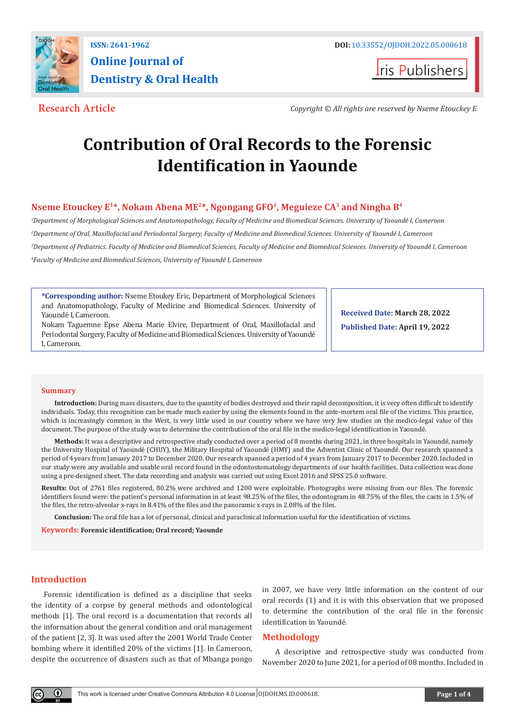

**Iris Publishers** 

**Research Article** *Copyright © All rights are reserved by Nseme Etouckey E*

# **Contribution of Oral Records to the Forensic Identification in Yaounde**

# **Nseme Etouckey E1\*, Nokam Abena ME2\*, Ngongang GFO1, Meguieze CA3 and Ningha B4**

 *Department of Morphological Sciences and Anatomopathology, Faculty of Medicine and Biomedical Sciences. University of Yaoundé I, Cameroon Department of Oral, Maxillofacial and Periodontal Surgery, Faculty of Medicine and Biomedical Sciences. University of Yaoundé I, Cameroon Department of Pediatrics. Faculty of Medicine and Biomedical Sciences, Faculty of Medicine and Biomedical Sciences. University of Yaoundé I, Cameroon Faculty of Medicine and Biomedical Sciences, University of Yaoundé I, Cameroon*

**\*Corresponding author:** Nseme Etoukey Eric, Department of Morphological Sciences and Anatomopathology, Faculty of Medicine and Biomedical Sciences. University of Yaoundé I, Cameroon.

Nokam Taguemne Epse Abena Marie Elvire, Department of Oral, Maxillofacial and Periodontal Surgery, Faculty of Medicine and Biomedical Sciences. University of Yaoundé I, Cameroon.

**Received Date: March 28, 2022 Published Date: April 19, 2022**

#### **Summary**

**Introduction:** During mass disasters, due to the quantity of bodies destroyed and their rapid decomposition, it is very often difficult to identify individuals. Today, this recognition can be made much easier by using the elements found in the ante-mortem oral file of the victims. This practice, which is increasingly common in the West, is very little used in our country where we have very few studies on the medico-legal value of this document. The purpose of the study was to determine the contribution of the oral file in the medico-legal identification in Yaoundé.

**Methods:** It was a descriptive and retrospective study conducted over a period of 8 months during 2021, in three hospitals in Yaoundé, namely the University Hospital of Yaoundé (CHUY), the Military Hospital of Yaoundé (HMY) and the Adventist Clinic of Yaoundé. Our research spanned a period of 4 years from January 2017 to December 2020. Our research spanned a period of 4 years from January 2017 to December 2020. Included in our study were any available and usable oral record found in the odontostomatology departments of our health facilities. Data collection was done using a pre-designed sheet. The data recording and analysis was carried out using Excel 2016 and SPSS 25.0 software.

**Results:** Out of 2761 files registered, 80.2% were archived and 1200 were exploitable. Photographs were missing from our files. The forensic identifiers found were: the patient's personal information in at least 98.25% of the files, the odontogram in 48.75% of the files, the casts in 1.5% of the files, the retro-alveolar x-rays in 8.41% of the files and the panoramic x-rays in 2.08% of the files.

**Conclusion:** The oral file has a lot of personal, clinical and paraclinical information useful for the identification of victims.

**Keywords: Forensic identification; Oral record; Yaounde**

# **Introduction**

Forensic identification is defined as a discipline that seeks the identity of a corpse by general methods and odontological methods [1]. The oral record is a documentation that records all the information about the general condition and oral management of the patient [2, 3]. It was used after the 2001 World Trade Center bombing where it identified 20% of the victims [1]. In Cameroon, despite the occurrence of disasters such as that of Mbanga pongo

in 2007, we have very little information on the content of our oral records (1) and it is with this observation that we proposed to determine the contribution of the oral file in the forensic identification in Yaoundé.

# **Methodology**

A descriptive and retrospective study was conducted from November 2020 to June 2021, for a period of 08 months. Included in

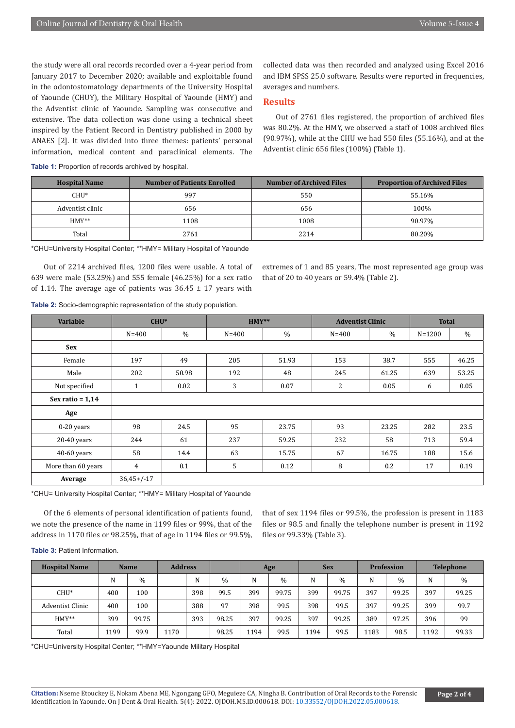the study were all oral records recorded over a 4-year period from January 2017 to December 2020; available and exploitable found in the odontostomatology departments of the University Hospital of Yaounde (CHUY), the Military Hospital of Yaounde (HMY) and the Adventist clinic of Yaounde. Sampling was consecutive and extensive. The data collection was done using a technical sheet inspired by the Patient Record in Dentistry published in 2000 by ANAES [2]. It was divided into three themes: patients' personal information, medical content and paraclinical elements. The collected data was then recorded and analyzed using Excel 2016 and IBM SPSS 25.0 software. Results were reported in frequencies, averages and numbers.

# **Results**

Out of 2761 files registered, the proportion of archived files was 80.2%. At the HMY, we observed a staff of 1008 archived files (90.97%), while at the CHU we had 550 files (55.16%), and at the Adventist clinic 656 files (100%) (Table 1).

**Table 1:** Proportion of records archived by hospital.

| <b>Hospital Name</b> | <b>Number of Patients Enrolled</b> | <b>Number of Archived Files</b> | <b>Proportion of Archived Files</b> |
|----------------------|------------------------------------|---------------------------------|-------------------------------------|
| $CHU^*$              | 997                                | 550                             | 55.16%                              |
| Adventist clinic     | 656                                | 656                             | 100%                                |
| $HMY**$              | 1108                               | 1008                            | 90.97%                              |
| Total                | 2761                               | 2214                            | 80.20%                              |

\*CHU=University Hospital Center; \*\*HMY= Military Hospital of Yaounde

Out of 2214 archived files, 1200 files were usable. A total of 639 were male (53.25%) and 555 female (46.25%) for a sex ratio of 1.14. The average age of patients was  $36.45 \pm 17$  years with

extremes of 1 and 85 years, The most represented age group was that of 20 to 40 years or 59.4% (Table 2).

|  |  |  |  | <b>Table 2:</b> Socio-demographic representation of the study population. |
|--|--|--|--|---------------------------------------------------------------------------|
|--|--|--|--|---------------------------------------------------------------------------|

| <b>Variable</b>    | $CHU^*$        |               | $HMY**$   |               | <b>Adventist Clinic</b> | <b>Total</b> |            |       |
|--------------------|----------------|---------------|-----------|---------------|-------------------------|--------------|------------|-------|
|                    | $N = 400$      | $\frac{0}{0}$ | $N = 400$ | $\frac{0}{0}$ | $N = 400$               | $\%$         | $N = 1200$ | $\%$  |
| <b>Sex</b>         |                |               |           |               |                         |              |            |       |
| Female             | 197            | 49            | 205       | 51.93         | 153                     | 38.7         | 555        | 46.25 |
| Male               | 202            | 50.98         | 192       | 48            | 245                     | 61.25        | 639        | 53.25 |
| Not specified      | $\mathbf{1}$   | 0.02          | 3         | 0.07          | 2                       | 0.05         | 6          | 0.05  |
| Sex ratio = $1,14$ |                |               |           |               |                         |              |            |       |
| Age                |                |               |           |               |                         |              |            |       |
| 0-20 years         | 98             | 24.5          | 95        | 23.75         | 93                      | 23.25        | 282        | 23.5  |
| $20-40$ years      | 244            | 61            | 237       | 59.25         | 232                     | 58           | 713        | 59.4  |
| 40-60 years        | 58             | 14.4          | 63        | 15.75         | 67                      | 16.75        | 188        | 15.6  |
| More than 60 years | $\overline{4}$ | 0.1           | 5         | 0.12          | 8                       | 0.2          | 17         | 0.19  |
| Average            | $36,45+/-17$   |               |           |               |                         |              |            |       |

\*CHU= University Hospital Center; \*\*HMY= Military Hospital of Yaounde

Of the 6 elements of personal identification of patients found, we note the presence of the name in 1199 files or 99%, that of the address in 1170 files or 98.25%, that of age in 1194 files or 99.5%,

that of sex 1194 files or 99.5%, the profession is present in 1183 files or 98.5 and finally the telephone number is present in 1192 files or 99.33% (Table 3).

#### **Table 3:** Patient Information.

| <b>Hospital Name</b> | <b>Name</b> |       |      | <b>Address</b><br>Age |       | <b>Sex</b> |               | <b>Profession</b> |               | <b>Telephone</b> |               |      |       |
|----------------------|-------------|-------|------|-----------------------|-------|------------|---------------|-------------------|---------------|------------------|---------------|------|-------|
|                      | N           | $\%$  |      | N                     | $\%$  | N          | $\frac{0}{0}$ | N                 | $\frac{0}{0}$ | N                | $\frac{0}{0}$ | N    | $\%$  |
| $CHU^*$              | 400         | 100   |      | 398                   | 99.5  | 399        | 99.75         | 399               | 99.75         | 397              | 99.25         | 397  | 99.25 |
| Adventist Clinic     | 400         | 100   |      | 388                   | 97    | 398        | 99.5          | 398               | 99.5          | 397              | 99.25         | 399  | 99.7  |
| $HMY**$              | 399         | 99.75 |      | 393                   | 98.25 | 397        | 99.25         | 397               | 99.25         | 389              | 97.25         | 396  | 99    |
| Total                | 1199        | 99.9  | 1170 |                       | 98.25 | 1194       | 99.5          | 1194              | 99.5          | 1183             | 98.5          | 1192 | 99.33 |

\*CHU=University Hospital Center; \*\*HMY=Yaounde Military Hospital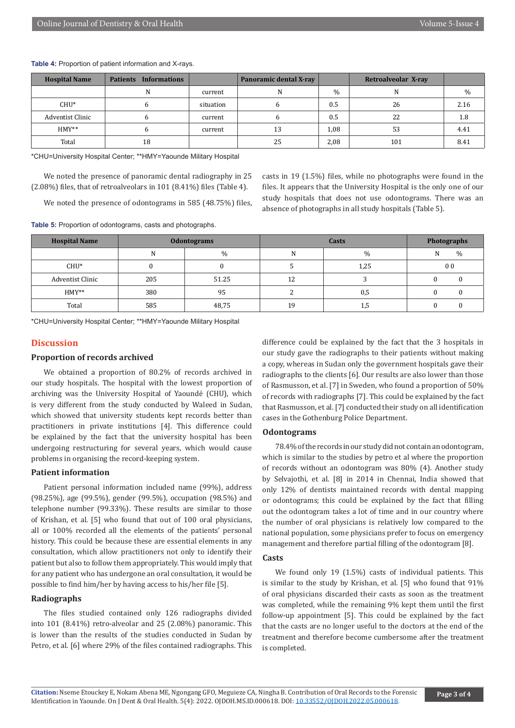| <b>Hospital Name</b> | <b>Patients Informations</b> |           | Panoramic dental X-ray |               | Retroalveolar X-ray |      |
|----------------------|------------------------------|-----------|------------------------|---------------|---------------------|------|
|                      | N                            | current   | N                      | $\frac{0}{0}$ | N                   | %    |
| $CHU^*$              |                              | situation | b                      | 0.5           | 26                  | 2.16 |
| Adventist Clinic     |                              | current   |                        | 0.5           | 22                  | 1.8  |
| $HMY**$              | $\mathbf b$                  | current   | 13                     | 1,08          | 53                  | 4.41 |
| Total                | 18                           |           | 25                     | 2,08          | 101                 | 8.41 |

#### **Table 4:** Proportion of patient information and X-rays.

\*CHU=University Hospital Center; \*\*HMY=Yaounde Military Hospital

We noted the presence of panoramic dental radiography in 25 (2.08%) files, that of retroalveolars in 101 (8.41%) files (Table 4).

We noted the presence of odontograms in 585 (48.75%) files,

**Table 5:** Proportion of odontograms, casts and photographs.

casts in 19 (1.5%) files, while no photographs were found in the files. It appears that the University Hospital is the only one of our study hospitals that does not use odontograms. There was an absence of photographs in all study hospitals (Table 5).

| <b>Hospital Name</b> |     | <b>Odontograms</b> |    | <b>Photographs</b> |                    |  |
|----------------------|-----|--------------------|----|--------------------|--------------------|--|
|                      | N   | $\%$               | N  | $\%$               | $\frac{0}{0}$<br>N |  |
| $CHU^*$              |     |                    |    | 1,25               | 0 <sub>0</sub>     |  |
| Adventist Clinic     | 205 | 51.25              | 12 |                    |                    |  |
| $HMY**$              | 380 | 95                 |    | 0,5                |                    |  |
| Total                | 585 | 48,75              | 19 | 1,5                |                    |  |

\*CHU=University Hospital Center; \*\*HMY=Yaounde Military Hospital

#### **Discussion**

#### **Proportion of records archived**

We obtained a proportion of 80.2% of records archived in our study hospitals. The hospital with the lowest proportion of archiving was the University Hospital of Yaoundé (CHU), which is very different from the study conducted by Waleed in Sudan, which showed that university students kept records better than practitioners in private institutions [4]. This difference could be explained by the fact that the university hospital has been undergoing restructuring for several years, which would cause problems in organising the record-keeping system.

### **Patient information**

Patient personal information included name (99%), address (98.25%), age (99.5%), gender (99.5%), occupation (98.5%) and telephone number (99.33%). These results are similar to those of Krishan, et al. [5] who found that out of 100 oral physicians, all or 100% recorded all the elements of the patients' personal history. This could be because these are essential elements in any consultation, which allow practitioners not only to identify their patient but also to follow them appropriately. This would imply that for any patient who has undergone an oral consultation, it would be possible to find him/her by having access to his/her file [5].

### **Radiographs**

The files studied contained only 126 radiographs divided into 101 (8.41%) retro-alveolar and 25 (2.08%) panoramic. This is lower than the results of the studies conducted in Sudan by Petro, et al. [6] where 29% of the files contained radiographs. This difference could be explained by the fact that the 3 hospitals in our study gave the radiographs to their patients without making a copy, whereas in Sudan only the government hospitals gave their radiographs to the clients [6]. Our results are also lower than those of Rasmusson, et al. [7] in Sweden, who found a proportion of 50% of records with radiographs [7]. This could be explained by the fact that Rasmusson, et al. [7] conducted their study on all identification cases in the Gothenburg Police Department.

#### **Odontograms**

78.4% of the records in our study did not contain an odontogram, which is similar to the studies by petro et al where the proportion of records without an odontogram was 80% (4). Another study by Selvajothi, et al. [8] in 2014 in Chennai, India showed that only 12% of dentists maintained records with dental mapping or odontograms; this could be explained by the fact that filling out the odontogram takes a lot of time and in our country where the number of oral physicians is relatively low compared to the national population, some physicians prefer to focus on emergency management and therefore partial filling of the odontogram [8].

#### **Casts**

We found only 19 (1.5%) casts of individual patients. This is similar to the study by Krishan, et al. [5] who found that 91% of oral physicians discarded their casts as soon as the treatment was completed, while the remaining 9% kept them until the first follow-up appointment [5]. This could be explained by the fact that the casts are no longer useful to the doctors at the end of the treatment and therefore become cumbersome after the treatment is completed.